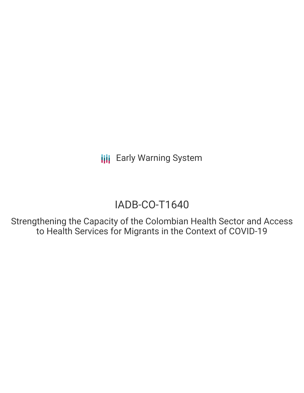**III** Early Warning System

# IADB-CO-T1640

Strengthening the Capacity of the Colombian Health Sector and Access to Health Services for Migrants in the Context of COVID-19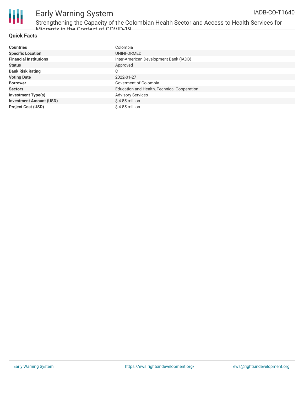

## Early Warning System

Strengthening the Capacity of the Colombian Health Sector and Access to Health Services for Migrante in the Context of COVID-10

#### **Quick Facts**

| <b>Countries</b>               | Colombia                                    |
|--------------------------------|---------------------------------------------|
| <b>Specific Location</b>       | UNINFORMED                                  |
| <b>Financial Institutions</b>  | Inter-American Development Bank (IADB)      |
| <b>Status</b>                  | Approved                                    |
| <b>Bank Risk Rating</b>        | C                                           |
| <b>Voting Date</b>             | 2022-01-27                                  |
| <b>Borrower</b>                | Goverment of Colombia                       |
| <b>Sectors</b>                 | Education and Health, Technical Cooperation |
| <b>Investment Type(s)</b>      | <b>Advisory Services</b>                    |
| <b>Investment Amount (USD)</b> | $$4.85$ million                             |
| <b>Project Cost (USD)</b>      | \$4.85 million                              |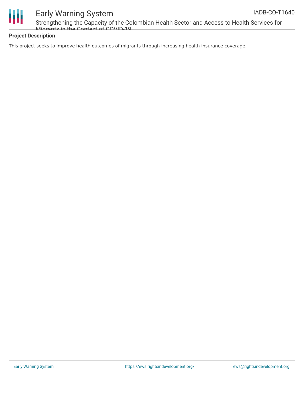



### Early Warning System

Strengthening the Capacity of the Colombian Health Sector and Access to Health Services for Migrante in the Context of COVID-10

#### **Project Description**

This project seeks to improve health outcomes of migrants through increasing health insurance coverage.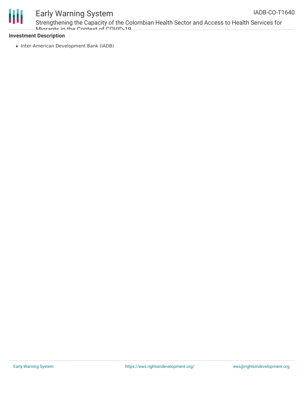

## Early Warning System

Strengthening the Capacity of the Colombian Health Sector and Access to Health Services for Migrants in the Context of COVID-10

### **Investment Description**

• Inter-American Development Bank (IADB)